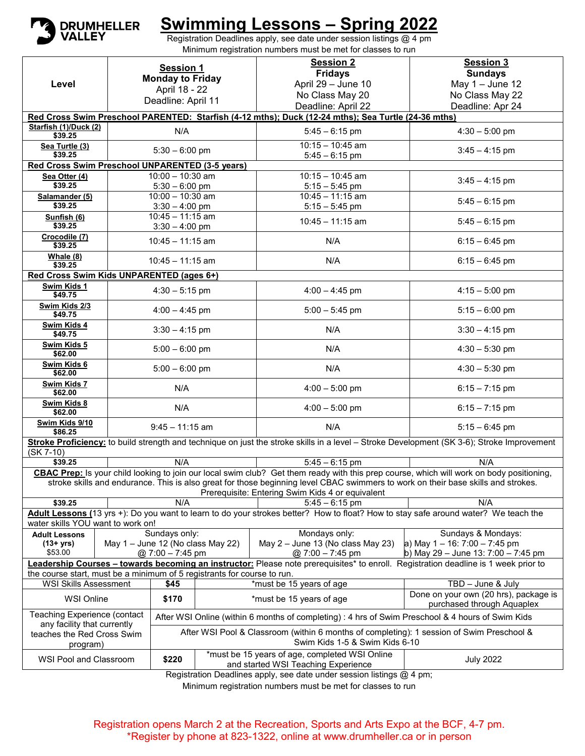

## **Swimming Lessons – Spring 2022**

Registration Deadlines apply, see date under session listings @ 4 pm Minimum registration numbers must be met for classes to run

|                                                                                                                                                                          | <b>Session 1</b>        |                                                                                                                             |                                                         | <b>Session 2</b>                                                                                                                    | <b>Session 3</b>                                                                                                                           |  |  |  |  |  |
|--------------------------------------------------------------------------------------------------------------------------------------------------------------------------|-------------------------|-----------------------------------------------------------------------------------------------------------------------------|---------------------------------------------------------|-------------------------------------------------------------------------------------------------------------------------------------|--------------------------------------------------------------------------------------------------------------------------------------------|--|--|--|--|--|
|                                                                                                                                                                          | <b>Monday to Friday</b> |                                                                                                                             |                                                         | <b>Fridays</b>                                                                                                                      | <b>Sundays</b>                                                                                                                             |  |  |  |  |  |
| Level                                                                                                                                                                    | April 18 - 22           |                                                                                                                             |                                                         | April 29 - June 10                                                                                                                  | May $1 -$ June 12                                                                                                                          |  |  |  |  |  |
|                                                                                                                                                                          | Deadline: April 11      |                                                                                                                             |                                                         | No Class May 20                                                                                                                     | No Class May 22                                                                                                                            |  |  |  |  |  |
| Deadline: April 22<br>Deadline: Apr 24<br>Red Cross Swim Preschool PARENTED: Starfish (4-12 mths); Duck (12-24 mths); Sea Turtle (24-36 mths)                            |                         |                                                                                                                             |                                                         |                                                                                                                                     |                                                                                                                                            |  |  |  |  |  |
| Starfish (1)/Duck (2)                                                                                                                                                    |                         |                                                                                                                             |                                                         |                                                                                                                                     |                                                                                                                                            |  |  |  |  |  |
| \$39.25                                                                                                                                                                  |                         | N/A                                                                                                                         |                                                         | $5:45 - 6:15$ pm                                                                                                                    | $4:30 - 5:00$ pm                                                                                                                           |  |  |  |  |  |
| Sea Turtle (3)                                                                                                                                                           |                         | $5:30 - 6:00$ pm                                                                                                            |                                                         | $10:15 - 10:45$ am                                                                                                                  | $3:45 - 4:15$ pm                                                                                                                           |  |  |  |  |  |
| \$39.25<br>$5:45 - 6:15$ pm<br>Red Cross Swim Preschool UNPARENTED (3-5 years)                                                                                           |                         |                                                                                                                             |                                                         |                                                                                                                                     |                                                                                                                                            |  |  |  |  |  |
| $10:15 - 10:45$ am<br>$10:00 - 10:30$ am<br>Sea Otter (4)                                                                                                                |                         |                                                                                                                             |                                                         |                                                                                                                                     |                                                                                                                                            |  |  |  |  |  |
| \$39.25                                                                                                                                                                  |                         | $5:30 - 6:00$ pm                                                                                                            |                                                         | $5:15 - 5:45$ pm                                                                                                                    | $3:45 - 4:15$ pm                                                                                                                           |  |  |  |  |  |
| Salamander (5)                                                                                                                                                           |                         | $10:00 - 10:30$ am                                                                                                          |                                                         | $10:45 - 11:15$ am                                                                                                                  | $5:45 - 6:15$ pm                                                                                                                           |  |  |  |  |  |
| \$39.25                                                                                                                                                                  |                         | $3:30 - 4:00$ pm                                                                                                            |                                                         | $5:15 - 5:45$ pm                                                                                                                    |                                                                                                                                            |  |  |  |  |  |
| Sunfish (6)                                                                                                                                                              |                         | $10:45 - 11:15$ am                                                                                                          |                                                         | $10:45 - 11:15$ am                                                                                                                  | $5:45 - 6:15$ pm                                                                                                                           |  |  |  |  |  |
| \$39.25                                                                                                                                                                  |                         | $3:30 - 4:00$ pm                                                                                                            |                                                         |                                                                                                                                     |                                                                                                                                            |  |  |  |  |  |
| Crocodile (7)<br>\$39.25                                                                                                                                                 |                         | $10:45 - 11:15$ am                                                                                                          |                                                         | N/A                                                                                                                                 | $6:15 - 6:45$ pm                                                                                                                           |  |  |  |  |  |
| Whale (8)<br>\$39.25                                                                                                                                                     |                         | $10:45 - 11:15$ am                                                                                                          |                                                         | N/A                                                                                                                                 | $6:15 - 6:45$ pm                                                                                                                           |  |  |  |  |  |
| Red Cross Swim Kids UNPARENTED (ages 6+)                                                                                                                                 |                         |                                                                                                                             |                                                         |                                                                                                                                     |                                                                                                                                            |  |  |  |  |  |
| Swim Kids 1<br>\$49.75                                                                                                                                                   |                         | $4:30 - 5:15$ pm                                                                                                            |                                                         | $4:00 - 4:45$ pm                                                                                                                    | $4:15 - 5:00$ pm                                                                                                                           |  |  |  |  |  |
| Swim Kids 2/3<br>\$49.75                                                                                                                                                 | $4:00 - 4:45$ pm        |                                                                                                                             |                                                         | $5:00 - 5:45$ pm                                                                                                                    | $5:15 - 6:00$ pm                                                                                                                           |  |  |  |  |  |
| Swim Kids 4<br>\$49.75                                                                                                                                                   |                         | $3:30 - 4:15$ pm                                                                                                            |                                                         | N/A                                                                                                                                 | $3:30 - 4:15$ pm                                                                                                                           |  |  |  |  |  |
| Swim Kids 5<br>\$62.00                                                                                                                                                   |                         | $5:00 - 6:00$ pm                                                                                                            |                                                         | N/A                                                                                                                                 | $4:30 - 5:30$ pm                                                                                                                           |  |  |  |  |  |
| Swim Kids 6<br>\$62.00                                                                                                                                                   | $5:00 - 6:00$ pm        |                                                                                                                             |                                                         | N/A                                                                                                                                 | $4:30 - 5:30$ pm                                                                                                                           |  |  |  |  |  |
| Swim Kids 7<br>\$62.00                                                                                                                                                   |                         | N/A                                                                                                                         |                                                         | $4:00 - 5:00$ pm                                                                                                                    | $6:15 - 7:15$ pm                                                                                                                           |  |  |  |  |  |
| Swim Kids 8<br>\$62.00                                                                                                                                                   |                         | N/A                                                                                                                         |                                                         | $4:00 - 5:00$ pm                                                                                                                    | $6:15 - 7:15$ pm                                                                                                                           |  |  |  |  |  |
| Swim Kids 9/10<br>\$86.25                                                                                                                                                |                         | $9:45 - 11:15$ am                                                                                                           |                                                         | N/A                                                                                                                                 | $5:15 - 6:45$ pm                                                                                                                           |  |  |  |  |  |
| $(SK 7-10)$                                                                                                                                                              |                         |                                                                                                                             |                                                         |                                                                                                                                     | Stroke Proficiency: to build strength and technique on just the stroke skills in a level - Stroke Development (SK 3-6); Stroke Improvement |  |  |  |  |  |
| \$39.25                                                                                                                                                                  |                         | N/A                                                                                                                         |                                                         | $5:45 - 6:15$ pm                                                                                                                    | N/A                                                                                                                                        |  |  |  |  |  |
|                                                                                                                                                                          |                         |                                                                                                                             |                                                         |                                                                                                                                     | CBAC Prep: Is your child looking to join our local swim club? Get them ready with this prep course, which will work on body positioning,   |  |  |  |  |  |
|                                                                                                                                                                          |                         |                                                                                                                             |                                                         | stroke skills and endurance. This is also great for those beginning level CBAC swimmers to work on their base skills and strokes.   |                                                                                                                                            |  |  |  |  |  |
| Prerequisite: Entering Swim Kids 4 or equivalent<br>N/A<br>$5:45 - 6:15$ pm<br>N/A<br>\$39.25                                                                            |                         |                                                                                                                             |                                                         |                                                                                                                                     |                                                                                                                                            |  |  |  |  |  |
|                                                                                                                                                                          |                         |                                                                                                                             |                                                         |                                                                                                                                     |                                                                                                                                            |  |  |  |  |  |
| Adult Lessons (13 yrs +): Do you want to learn to do your strokes better? How to float? How to stay safe around water? We teach the<br>water skills YOU want to work on! |                         |                                                                                                                             |                                                         |                                                                                                                                     |                                                                                                                                            |  |  |  |  |  |
| <b>Adult Lessons</b>                                                                                                                                                     |                         | Sundays only:                                                                                                               |                                                         | Mondays only:                                                                                                                       | Sundays & Mondays:                                                                                                                         |  |  |  |  |  |
| (13+ yrs)<br>\$53.00                                                                                                                                                     |                         | May 1 - June 12 (No class May 22)<br>$@.7:00 - 7:45$ pm                                                                     |                                                         | May $2 -$ June 13 (No class May 23)<br>$@ 7:00 - 7:45$ pm                                                                           | a) May $1 - 16$ : 7:00 $- 7$ :45 pm<br>b) May 29 - June 13: 7:00 - 7:45 pm                                                                 |  |  |  |  |  |
|                                                                                                                                                                          |                         |                                                                                                                             |                                                         | Leadership Courses - towards becoming an instructor: Please note prerequisites* to enroll. Registration deadline is 1 week prior to |                                                                                                                                            |  |  |  |  |  |
| the course start, must be a minimum of 5 registrants for course to run.                                                                                                  |                         |                                                                                                                             |                                                         |                                                                                                                                     |                                                                                                                                            |  |  |  |  |  |
| <b>WSI Skills Assessment</b>                                                                                                                                             |                         | \$45                                                                                                                        | *must be 15 years of age                                |                                                                                                                                     | TBD - June & July                                                                                                                          |  |  |  |  |  |
| <b>WSI Online</b>                                                                                                                                                        |                         | \$170                                                                                                                       | *must be 15 years of age                                |                                                                                                                                     | Done on your own (20 hrs), package is<br>purchased through Aquaplex                                                                        |  |  |  |  |  |
| Teaching Experience (contact                                                                                                                                             |                         | After WSI Online (within 6 months of completing) : 4 hrs of Swim Preschool & 4 hours of Swim Kids                           |                                                         |                                                                                                                                     |                                                                                                                                            |  |  |  |  |  |
| any facility that currently<br>teaches the Red Cross Swim<br>program)                                                                                                    |                         | After WSI Pool & Classroom (within 6 months of completing): 1 session of Swim Preschool &<br>Swim Kids 1-5 & Swim Kids 6-10 |                                                         |                                                                                                                                     |                                                                                                                                            |  |  |  |  |  |
|                                                                                                                                                                          |                         |                                                                                                                             | *must be 15 years of age, completed WSI Online          |                                                                                                                                     |                                                                                                                                            |  |  |  |  |  |
| WSI Pool and Classroom                                                                                                                                                   |                         | \$220                                                                                                                       | <b>July 2022</b><br>and started WSI Teaching Experience |                                                                                                                                     |                                                                                                                                            |  |  |  |  |  |
| Registration Deadlines apply, see date under session listings @ 4 pm;                                                                                                    |                         |                                                                                                                             |                                                         |                                                                                                                                     |                                                                                                                                            |  |  |  |  |  |

Minimum registration numbers must be met for classes to run

Registration opens March 2 at the Recreation, Sports and Arts Expo at the BCF, 4-7 pm. \*Register by phone at 823-1322, online at www.drumheller.ca or in person